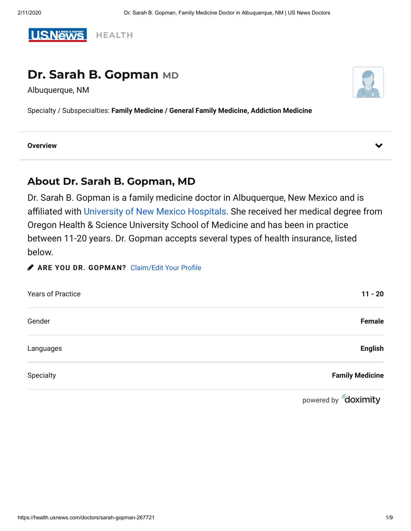

# **Dr. Sarah B. Gopman MD**

Albuquerque, NM



Specialty / Subspecialties: **[Family Medicine](https://health.usnews.com/doctors/family-medicine-doctors) / General Family Medicine, Addiction Medicine**

#### **Overview**

## **About Dr. Sarah B. Gopman, MD**

Dr. Sarah B. Gopman is a family medicine doctor in Albuquerque, New Mexico and is affiliated with [University of New Mexico Hospitals](https://health.usnews.com/best-hospitals/area/nm/university-hospital-6850037). She received her medical degree from Oregon Health & Science University School of Medicine and has been in practice between 11-20 years. Dr. Gopman accepts several types of health insurance, listed below.

**ARE YOU DR. GOPMAN?** Claim/Edit Your Profile

| <b>Years of Practice</b> | $11 - 20$              |
|--------------------------|------------------------|
| Gender                   | Female                 |
| Languages                | <b>English</b>         |
| Specialty                | <b>Family Medicine</b> |
|                          |                        |

powered by **doximity**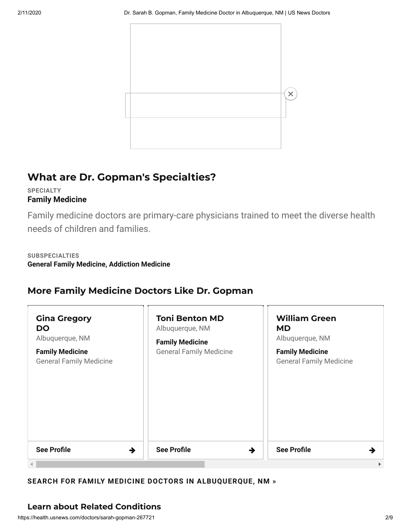

# **What are Dr. Gopman's Specialties?**

### **SPECIALTY [Family Medicine](https://health.usnews.com/doctors/family-medicine-doctors)**

Family medicine doctors are primary-care physicians trained to meet the diverse health needs of children and families.

### **SUBSPECIALTIES General Family Medicine, Addiction Medicine**

# **More Family Medicine Doctors Like Dr. Gopman**

| <b>Gina Gregory</b><br><b>DO</b><br>Albuquerque, NM<br><b>Family Medicine</b><br><b>General Family Medicine</b> | <b>Toni Benton MD</b><br>Albuquerque, NM<br><b>Family Medicine</b><br><b>General Family Medicine</b> | <b>William Green</b><br><b>MD</b><br>Albuquerque, NM<br><b>Family Medicine</b><br><b>General Family Medicine</b> |
|-----------------------------------------------------------------------------------------------------------------|------------------------------------------------------------------------------------------------------|------------------------------------------------------------------------------------------------------------------|
| <b>See Profile</b><br>$\rightarrow$                                                                             | <b>See Profile</b><br>$\rightarrow$                                                                  | <b>See Profile</b>                                                                                               |

## **SEARCH FOR FAMILY MEDICINE DOCTORS IN [ALBUQUERQUE,](https://health.usnews.com/doctors/family-medicine-doctors/albuquerque-nm) NM »**

## **Learn about Related Conditions**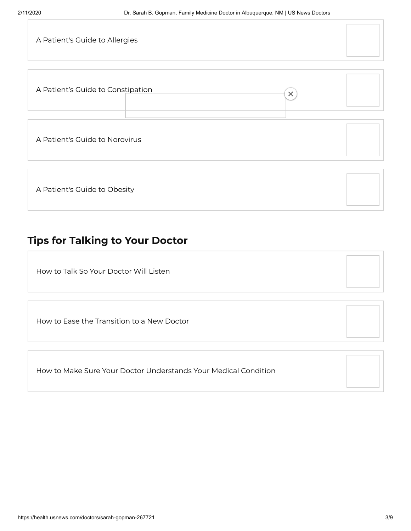| A Patient's Guide to Allergies                |  |
|-----------------------------------------------|--|
|                                               |  |
| A Patient's Guide to Constipation<br>$\times$ |  |
|                                               |  |
| A Patient's Guide to Norovirus                |  |
|                                               |  |
| A Patient's Guide to Obesity                  |  |

# **Tips for Talking to Your Doctor**

How to Talk [So Your](https://health.usnews.com/doctors/sarah-gopman-267721) Doctor Will Listen

How to Ease the [Transition](https://health.usnews.com/health-care/patient-advice/articles/2018-01-25/how-to-ease-the-transition-to-a-new-doctor) to a New Doctor

How to Make Sure Your Doctor [Understands](https://health.usnews.com/health-care/patient-advice/articles/2018-01-16/how-to-make-sure-your-doctor-understands-your-medical-condition) Your Medical Condition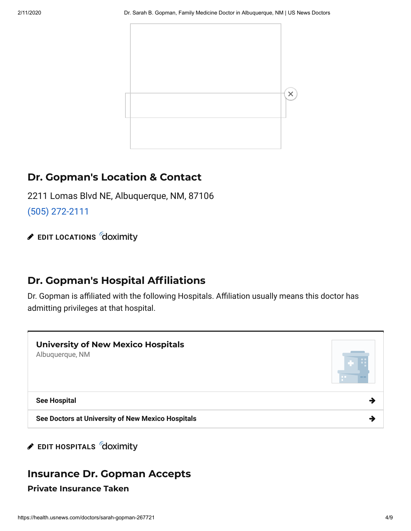

# **Dr. Gopman's Location & Contact**

2211 Lomas Blvd NE, Albuquerque, NM, 87106

[\(505\) 272-2111](tel://(505) 272-2111)

**EDIT [LOCATIONS](https://www.doximity.com/us_news/access/320178) doximity** 

# **Dr. Gopman's Hospital Afliations**

Dr. Gopman is affiliated with the following Hospitals. Affiliation usually means this doctor has admitting privileges at that hospital.



## **EDIT [HOSPITALS](https://www.doximity.com/us_news/access/320178)** doximity

# **Insurance Dr. Gopman Accepts Private Insurance Taken**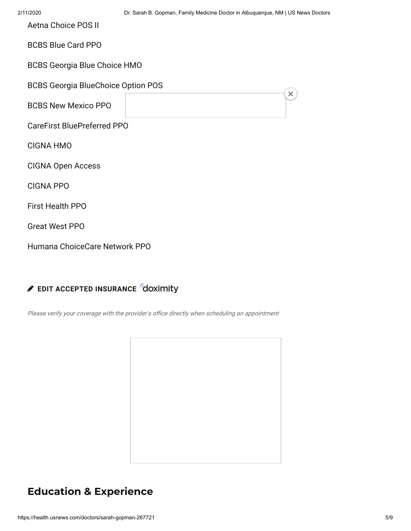$\times$ 

Aetna Choice POS II

BCBS Blue Card PPO

BCBS Georgia Blue Choice HMO

BCBS Georgia BlueChoice Option POS

BCBS New Mexico PPO

CareFirst BluePreferred PPO

CIGNA HMO

CIGNA Open Access

CIGNA PPO

First Health PPO

Great West PPO

Humana ChoiceCare Network PPO

## **EDIT ACCEPTED [INSURANCE](https://www.doximity.com/us_news/access/320178)**

Please verify your coverage with the provider's office directly when scheduling an appointment

# **Education & Experience**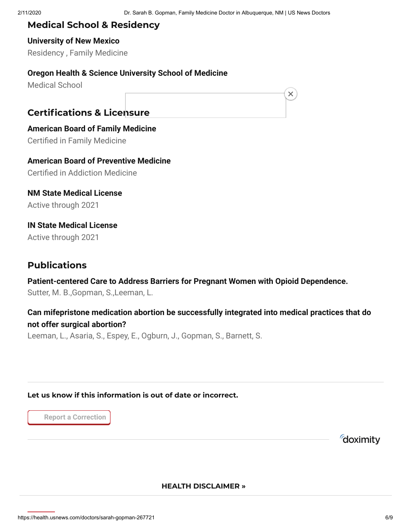$\times$ 

## **Medical School & Residency**

**University of New Mexico** Residency , Family Medicine

### **Oregon Health & Science University School of Medicine**

Medical School

## **Certications & Licensure**

**American Board of Family Medicine Certified in Family Medicine** 

**American Board of Preventive Medicine Certified in Addiction Medicine** 

**NM State Medical License** Active through 2021

**IN State Medical License** Active through 2021

# **Publications**

**Patient-centered Care to Address Barriers for Pregnant Women with Opioid Dependence.** Sutter, M. B.,Gopman, S.,Leeman, L.

## **Can mifepristone medication abortion be successfully integrated into medical practices that do not offer surgical abortion?**

Leeman, L., Asaria, S., Espey, E., Ogburn, J., Gopman, S., Barnett, S.

**Let us know if this information is out of date or incorrect.**

**Report a Correction**

doximity

### **HEALTH [DISCLAIMER](https://health.usnews.com/health-news/articles/2012/07/16/disclaimer-and-a-note-about-your-health) »**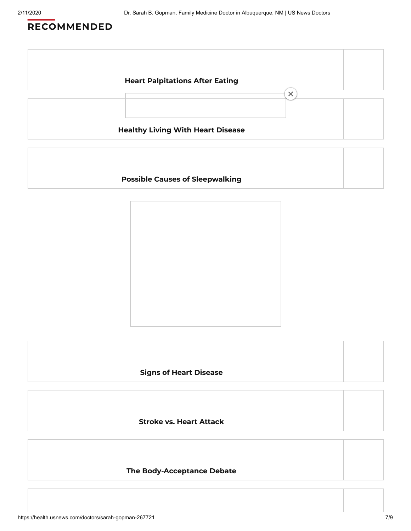# **RECOMMENDED**



### **Possible Causes of [Sleepwalking](https://health.usnews.com/conditions/sleep-disorder/slideshows/possible-causes-of-sleepwalking)**

#### **Signs of Heart [Disease](https://health.usnews.com/conditions/heart-disease/hypertension/slideshows/signs-of-heart-disease)**

**Stroke vs. Heart [Attack](https://health.usnews.com/conditions/heart-disease/heart-attack/articles/stroke-vs-heart-attack-how-to-tell-the-difference)**

#### **The [Body-Acceptance](https://www.usnews.com/news/healthiest-communities/articles/2020-02-03/body-positivity-weight-bias-and-the-battle-for-a-healthy-life) Debate**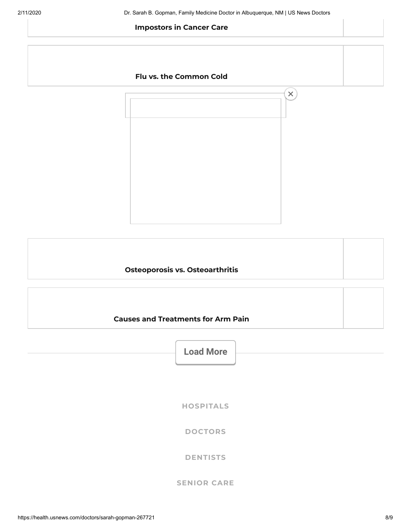#### **[Impostors](https://health.usnews.com/health-care/for-better/articles/triumph-and-disaster-equal-impostors-in-cancer-care) in Cancer Care**

### **Flu vs. the [Common](https://health.usnews.com/health-care/patient-advice/articles/flu-vs-the-common-cold-symptoms-and-treatment) Cold**



#### **Osteoporosis vs. [Osteoarthritis](https://health.usnews.com/conditions/bone-and-joint-disease/osteoporosis/articles/osteoporosis-vs-osteoarthritis)**



**Load More**

**[HOSPITALS](https://health.usnews.com/best-hospitals)**

**[DOCTORS](https://health.usnews.com/doctors)**

**[DENTISTS](https://health.usnews.com/dentists)**

### **[SENIOR](https://health.usnews.com/senior-care) CARE**